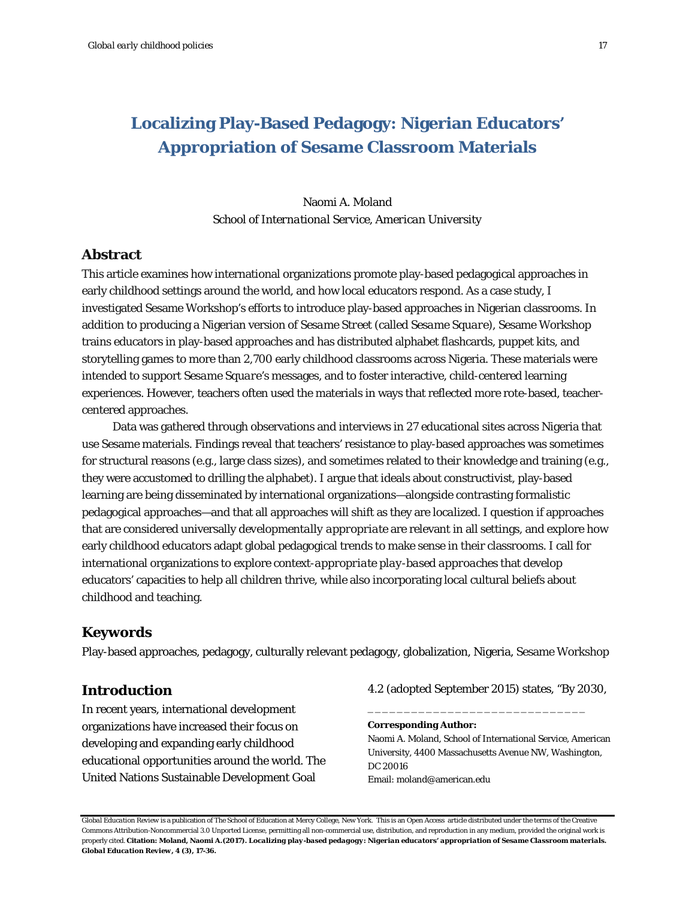# **Localizing Play-Based Pedagogy: Nigerian Educators' Appropriation of Sesame Classroom Materials**

## Naomi A. Moland *School of International Service, American University*

## **Abstract**

This article examines how international organizations promote play-based pedagogical approaches in early childhood settings around the world, and how local educators respond. As a case study, I investigated Sesame Workshop's efforts to introduce play-based approaches in Nigerian classrooms. In addition to producing a Nigerian version of *Sesame Street* (called *Sesame Square*), Sesame Workshop trains educators in play-based approaches and has distributed alphabet flashcards, puppet kits, and storytelling games to more than 2,700 early childhood classrooms across Nigeria. These materials were intended to support *Sesame Square*'s messages, and to foster interactive, child-centered learning experiences. However, teachers often used the materials in ways that reflected more rote-based, teachercentered approaches.

Data was gathered through observations and interviews in 27 educational sites across Nigeria that use Sesame materials. Findings reveal that teachers' resistance to play-based approaches was sometimes for structural reasons (e.g., large class sizes), and sometimes related to their knowledge and training (e.g., they were accustomed to drilling the alphabet). I argue that ideals about constructivist, play-based learning are being disseminated by international organizations—alongside contrasting formalistic pedagogical approaches—and that all approaches will shift as they are *localized.* I question if approaches that are considered universally *developmentally appropriate* are relevant in all settings, and explore how early childhood educators adapt global pedagogical trends to make sense in their classrooms. I call for international organizations to explore *context-appropriate play-based approaches* that develop educators' capacities to help all children thrive, while also incorporating local cultural beliefs about childhood and teaching.

### **Keywords**

Play-based approaches, pedagogy, culturally relevant pedagogy, globalization, Nigeria, Sesame Workshop

#### **Introduction**

In recent years, international development organizations have increased their focus on developing and expanding early childhood educational opportunities around the world. The United Nations Sustainable Development Goal

4.2 (adopted September 2015) states, "By 2030,

\_\_\_\_\_\_\_\_\_\_\_\_\_\_\_\_\_\_\_\_\_\_\_\_\_\_\_\_\_\_

**Corresponding Author:** 

Naomi A. Moland, School of International Service, American University, 4400 Massachusetts Avenue NW, Washington, DC 20016 Email: moland@american.edu

*Global Education Review* is a publication of The School of Education at Mercy College, New York. This is an Open Access article distributed under the terms of the Creative Commons Attribution-Noncommercial 3.0 Unported License, permitting all non-commercial use, distribution, and reproduction in any medium, provided the original work is properly cited. **Citation: Moland, Naomi A.(2017).** *Localizing play-based pedagogy: Nigerian educators' appropriation of Sesame Classroom materials.* *Global Education Review, 4* **(3), 17-36.**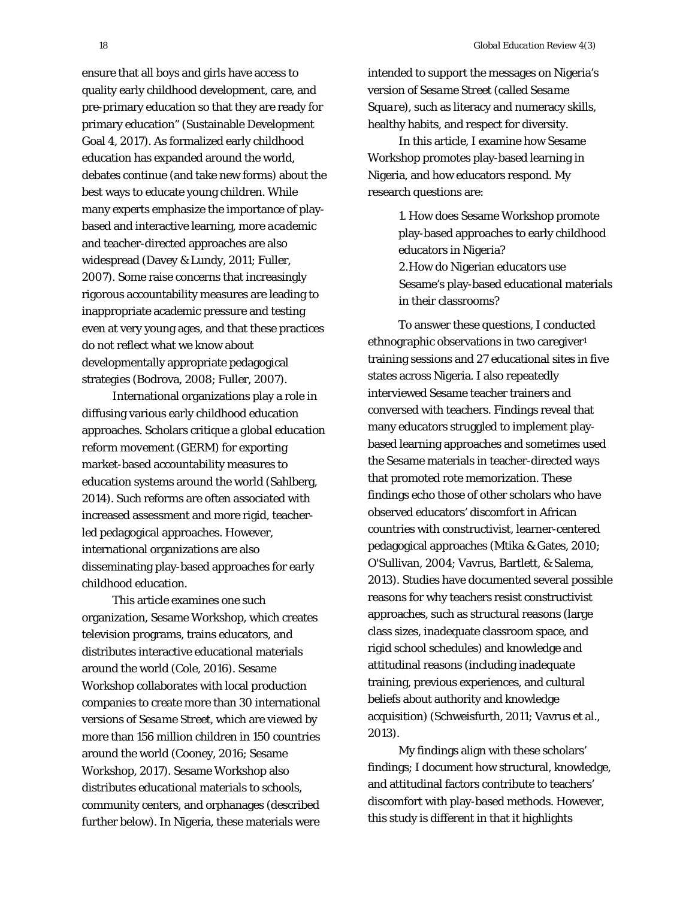ensure that all boys and girls have access to quality early childhood development, care, and pre-primary education so that they are ready for primary education" (Sustainable Development Goal 4, 2017). As formalized early childhood education has expanded around the world, debates continue (and take new forms) about the best ways to educate young children. While many experts emphasize the importance of playbased and interactive learning, more *academic* and teacher-directed approaches are also widespread (Davey & Lundy, 2011; Fuller, 2007). Some raise concerns that increasingly rigorous accountability measures are leading to inappropriate academic pressure and testing even at very young ages, and that these practices do not reflect what we know about developmentally appropriate pedagogical strategies (Bodrova, 2008; Fuller, 2007).

International organizations play a role in diffusing various early childhood education approaches. Scholars critique a *global education reform movement* (GERM) for exporting market-based accountability measures to education systems around the world (Sahlberg, 2014). Such reforms are often associated with increased assessment and more rigid, teacherled pedagogical approaches. However, international organizations are also disseminating play-based approaches for early childhood education.

This article examines one such organization, Sesame Workshop, which creates television programs, trains educators, and distributes interactive educational materials around the world (Cole, 2016). Sesame Workshop collaborates with local production companies to create more than 30 international versions of *Sesame Street*, which are viewed by more than 156 million children in 150 countries around the world (Cooney, 2016; Sesame Workshop, 2017). Sesame Workshop also distributes educational materials to schools, community centers, and orphanages (described further below). In Nigeria, these materials were

intended to support the messages on Nigeria's version of *Sesame Street* (called *Sesame Square*), such as literacy and numeracy skills, healthy habits, and respect for diversity.

In this article, I examine how Sesame Workshop promotes play-based learning in Nigeria, and how educators respond. My research questions are:

> 1. How does Sesame Workshop promote play-based approaches to early childhood educators in Nigeria? 2.How do Nigerian educators use Sesame's play-based educational materials in their classrooms?

To answer these questions, I conducted ethnographic observations in two caregiver<sup>1</sup> training sessions and 27 educational sites in five states across Nigeria. I also repeatedly interviewed Sesame teacher trainers and conversed with teachers. Findings reveal that many educators struggled to implement playbased learning approaches and sometimes used the Sesame materials in teacher-directed ways that promoted rote memorization. These findings echo those of other scholars who have observed educators' discomfort in African countries with constructivist, learner-centered pedagogical approaches (Mtika & Gates, 2010; O'Sullivan, 2004; Vavrus, Bartlett, & Salema, 2013). Studies have documented several possible reasons for why teachers resist constructivist approaches, such as structural reasons (large class sizes, inadequate classroom space, and rigid school schedules) and knowledge and attitudinal reasons (including inadequate training, previous experiences, and cultural beliefs about authority and knowledge acquisition) (Schweisfurth, 2011; Vavrus et al., 2013).

My findings align with these scholars' findings; I document how structural, knowledge, and attitudinal factors contribute to teachers' discomfort with play-based methods. However, this study is different in that it highlights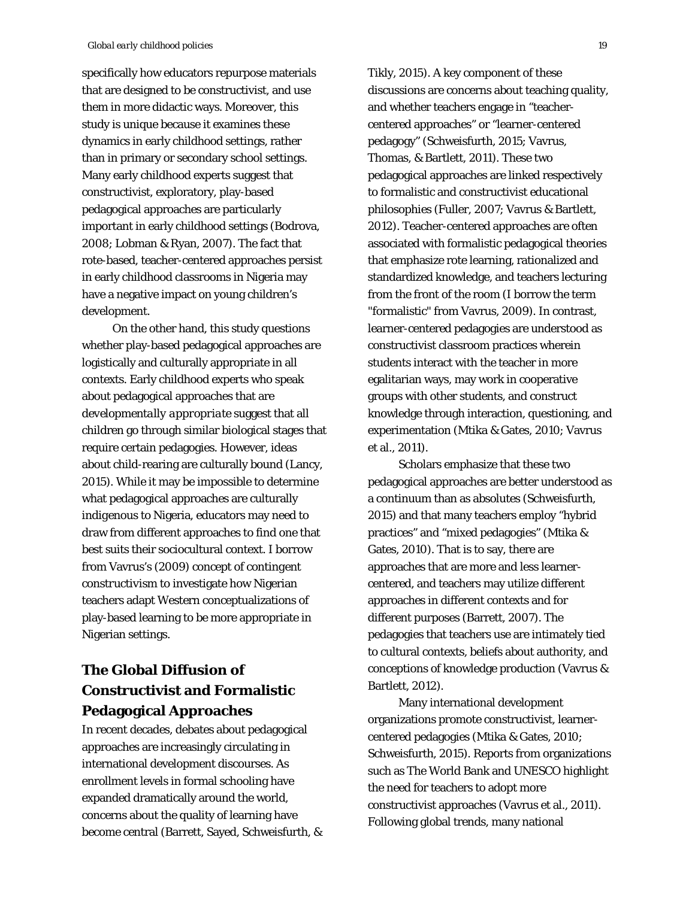specifically how educators repurpose materials that are designed to be constructivist, and use them in more didactic ways. Moreover, this study is unique because it examines these dynamics in early childhood settings, rather than in primary or secondary school settings. Many early childhood experts suggest that constructivist, exploratory, play-based pedagogical approaches are particularly important in early childhood settings (Bodrova, 2008; Lobman & Ryan, 2007). The fact that rote-based, teacher-centered approaches persist in early childhood classrooms in Nigeria may have a negative impact on young children's development.

On the other hand, this study questions whether play-based pedagogical approaches are logistically and culturally appropriate in all contexts. Early childhood experts who speak about pedagogical approaches that are *developmentally appropriate* suggest that all children go through similar biological stages that require certain pedagogies. However, ideas about child-rearing are culturally bound (Lancy, 2015). While it may be impossible to determine what pedagogical approaches are culturally *indigenous* to Nigeria, educators may need to draw from different approaches to find one that best suits their sociocultural context. I borrow from Vavrus's (2009) concept of *contingent constructivism* to investigate how Nigerian teachers adapt Western conceptualizations of play-based learning to be more appropriate in Nigerian settings.

# **The Global Diffusion of Constructivist and Formalistic Pedagogical Approaches**

In recent decades, debates about pedagogical approaches are increasingly circulating in international development discourses. As enrollment levels in formal schooling have expanded dramatically around the world, concerns about the quality of learning have become central (Barrett, Sayed, Schweisfurth, & Tikly, 2015). A key component of these discussions are concerns about teaching quality, and whether teachers engage in "teachercentered approaches" or "learner-centered pedagogy" (Schweisfurth, 2015; Vavrus, Thomas, & Bartlett, 2011). These two pedagogical approaches are linked respectively to formalistic and constructivist educational philosophies (Fuller, 2007; Vavrus & Bartlett, 2012). Teacher-centered approaches are often associated with formalistic pedagogical theories that emphasize rote learning, rationalized and standardized knowledge, and teachers lecturing from the front of the room (I borrow the term "formalistic" from Vavrus, 2009). In contrast, learner-centered pedagogies are understood as constructivist classroom practices wherein students interact with the teacher in more egalitarian ways, may work in cooperative groups with other students, and construct knowledge through interaction, questioning, and experimentation (Mtika & Gates, 2010; Vavrus et al., 2011).

Scholars emphasize that these two pedagogical approaches are better understood as a continuum than as absolutes (Schweisfurth, 2015) and that many teachers employ "hybrid practices" and "mixed pedagogies" (Mtika & Gates, 2010). That is to say, there are approaches that are more and less learnercentered, and teachers may utilize different approaches in different contexts and for different purposes (Barrett, 2007). The pedagogies that teachers use are intimately tied to cultural contexts, beliefs about authority, and conceptions of knowledge production (Vavrus & Bartlett, 2012).

Many international development organizations promote constructivist, learnercentered pedagogies (Mtika & Gates, 2010; Schweisfurth, 2015). Reports from organizations such as The World Bank and UNESCO highlight the need for teachers to adopt more constructivist approaches (Vavrus et al., 2011). Following global trends, many national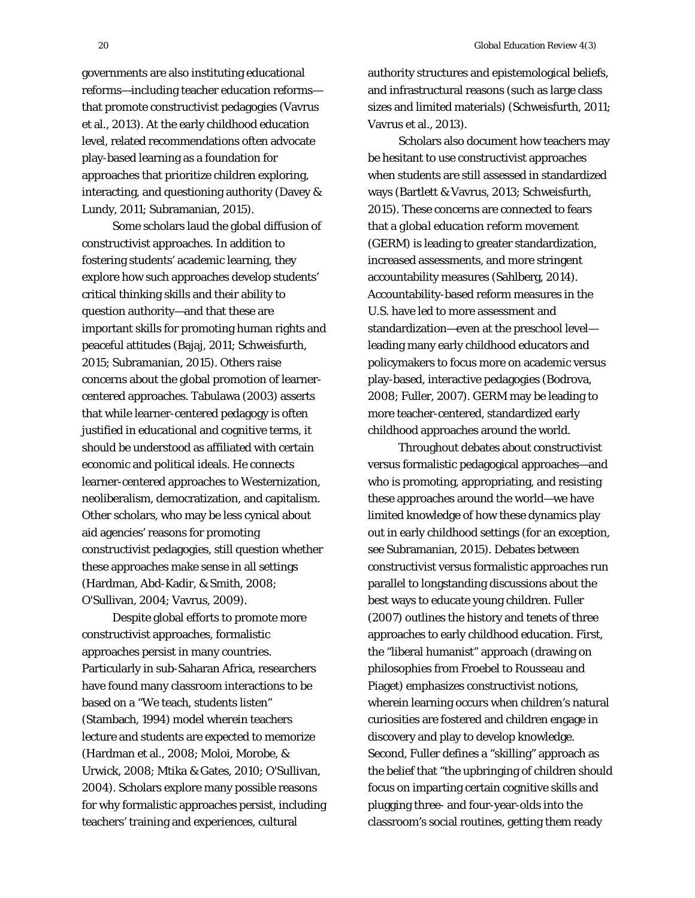governments are also instituting educational reforms—including teacher education reforms that promote constructivist pedagogies (Vavrus et al., 2013). At the early childhood education level, related recommendations often advocate play-based learning as a foundation for approaches that prioritize children exploring, interacting, and questioning authority (Davey & Lundy, 2011; Subramanian, 2015).

Some scholars laud the global diffusion of constructivist approaches. In addition to fostering students' academic learning, they explore how such approaches develop students' critical thinking skills and their ability to question authority—and that these are important skills for promoting human rights and peaceful attitudes (Bajaj, 2011; Schweisfurth, 2015; Subramanian, 2015). Others raise concerns about the global promotion of learnercentered approaches. Tabulawa (2003) asserts that while learner-centered pedagogy is often justified in educational and cognitive terms, it should be understood as affiliated with certain economic and political ideals. He connects learner-centered approaches to Westernization, neoliberalism, democratization, and capitalism. Other scholars, who may be less cynical about aid agencies' reasons for promoting constructivist pedagogies, still question whether these approaches make sense in all settings (Hardman, Abd-Kadir, & Smith, 2008; O'Sullivan, 2004; Vavrus, 2009).

Despite global efforts to promote more constructivist approaches, formalistic approaches persist in many countries. Particularly in sub-Saharan Africa, researchers have found many classroom interactions to be based on a "We teach, students listen" (Stambach, 1994) model wherein teachers lecture and students are expected to memorize (Hardman et al., 2008; Moloi, Morobe, & Urwick, 2008; Mtika & Gates, 2010; O'Sullivan, 2004). Scholars explore many possible reasons for why formalistic approaches persist, including teachers' training and experiences, cultural

authority structures and epistemological beliefs, and infrastructural reasons (such as large class sizes and limited materials) (Schweisfurth, 2011; Vavrus et al., 2013).

Scholars also document how teachers may be hesitant to use constructivist approaches when students are still assessed in standardized ways (Bartlett & Vavrus, 2013; Schweisfurth, 2015). These concerns are connected to fears that a *global education reform movement* (GERM) is leading to greater standardization, increased assessments, and more stringent accountability measures (Sahlberg, 2014). Accountability-based reform measures in the U.S. have led to more assessment and standardization—even at the preschool level leading many early childhood educators and policymakers to focus more on academic versus play-based, interactive pedagogies (Bodrova, 2008; Fuller, 2007). GERM may be leading to more teacher-centered, standardized early childhood approaches around the world.

Throughout debates about constructivist versus formalistic pedagogical approaches—and who is promoting, appropriating, and resisting these approaches around the world—we have limited knowledge of how these dynamics play out in early childhood settings (for an exception, see Subramanian, 2015). Debates between constructivist versus formalistic approaches run parallel to longstanding discussions about the best ways to educate young children. Fuller (2007) outlines the history and tenets of three approaches to early childhood education. First, the "liberal humanist" approach (drawing on philosophies from Froebel to Rousseau and Piaget) emphasizes constructivist notions, wherein learning occurs when children's natural curiosities are fostered and children engage in discovery and play to develop knowledge. Second, Fuller defines a "skilling" approach as the belief that "the upbringing of children should focus on imparting certain cognitive *skills* and plugging three- and four-year-olds into the classroom's social routines, getting them ready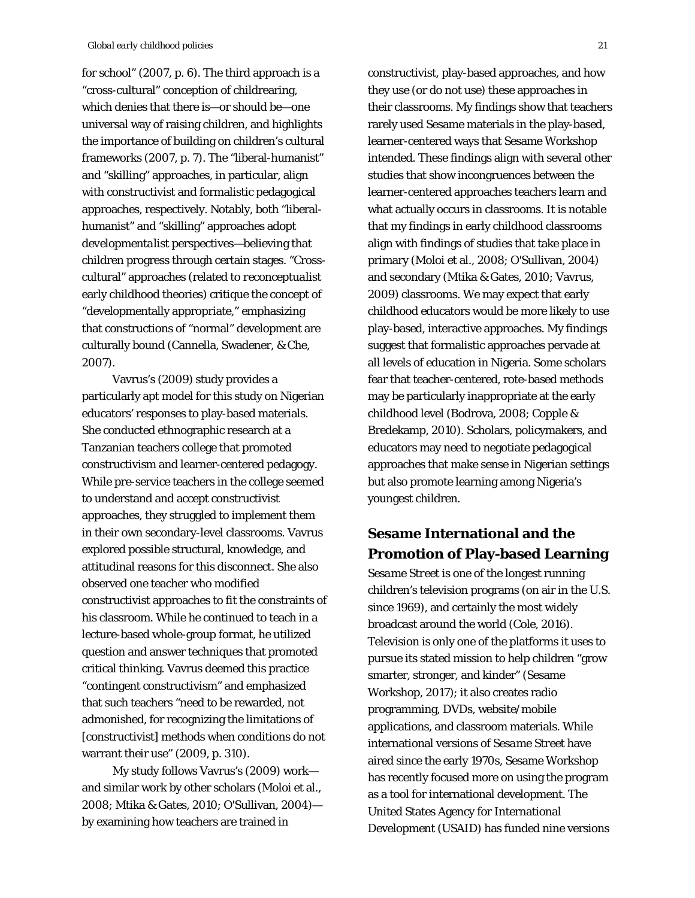for school" (2007, p. 6). The third approach is a "cross-cultural" conception of childrearing, which denies that there is—or should be—one universal way of raising children, and highlights the importance of building on children's cultural frameworks (2007, p. 7). The "liberal-humanist" and "skilling" approaches, in particular, align with constructivist and formalistic pedagogical approaches, respectively. Notably, both "liberalhumanist" and "skilling" approaches adopt *developmentalist* perspectives—believing that children progress through certain stages. "Crosscultural" approaches (related to *reconceptualis*t early childhood theories) critique the concept of "developmentally appropriate," emphasizing that constructions of "normal" development are culturally bound (Cannella, Swadener, & Che, 2007).

Vavrus's (2009) study provides a particularly apt model for this study on Nigerian educators' responses to play-based materials. She conducted ethnographic research at a Tanzanian teachers college that promoted constructivism and learner-centered pedagogy. While pre-service teachers in the college seemed to understand and accept constructivist approaches, they struggled to implement them in their own secondary-level classrooms. Vavrus explored possible structural, knowledge, and attitudinal reasons for this disconnect. She also observed one teacher who modified constructivist approaches to fit the constraints of his classroom. While he continued to teach in a lecture-based whole-group format, he utilized question and answer techniques that promoted critical thinking. Vavrus deemed this practice "contingent constructivism" and emphasized that such teachers "need to be rewarded, not admonished, for recognizing the limitations of [constructivist] methods when conditions do not warrant their use" (2009, p. 310).

My study follows Vavrus's (2009) work and similar work by other scholars (Moloi et al., 2008; Mtika & Gates, 2010; O'Sullivan, 2004) by examining how teachers are trained in

constructivist, play-based approaches, and how they use (or do not use) these approaches in their classrooms. My findings show that teachers rarely used Sesame materials in the play-based, learner-centered ways that Sesame Workshop intended. These findings align with several other studies that show incongruences between the learner-centered approaches teachers learn and what actually occurs in classrooms. It is notable that my findings in early childhood classrooms align with findings of studies that take place in primary (Moloi et al., 2008; O'Sullivan, 2004) and secondary (Mtika & Gates, 2010; Vavrus, 2009) classrooms. We may expect that early childhood educators would be more likely to use play-based, interactive approaches. My findings suggest that formalistic approaches pervade at all levels of education in Nigeria. Some scholars fear that teacher-centered, rote-based methods may be particularly inappropriate at the early childhood level (Bodrova, 2008; Copple & Bredekamp, 2010). Scholars, policymakers, and educators may need to negotiate pedagogical approaches that make sense in Nigerian settings but also promote learning among Nigeria's youngest children.

## **Sesame International and the Promotion of Play-based Learning**

*Sesame Street* is one of the longest running children's television programs (on air in the U.S. since 1969), and certainly the most widely broadcast around the world (Cole, 2016). Television is only one of the platforms it uses to pursue its stated mission to help children "grow smarter, stronger, and kinder" (Sesame Workshop, 2017); it also creates radio programming, DVDs, website/mobile applications, and classroom materials. While international versions of *Sesame Street* have aired since the early 1970s, Sesame Workshop has recently focused more on using the program as a tool for international development. The United States Agency for International Development (USAID) has funded nine versions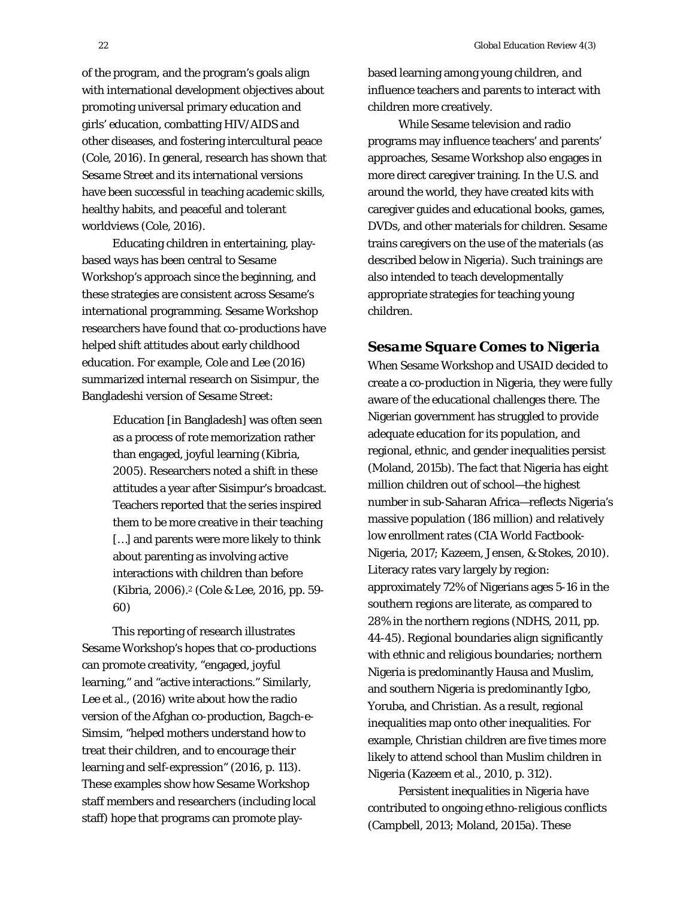of the program, and the program's goals align with international development objectives about promoting universal primary education and girls' education, combatting HIV/AIDS and other diseases, and fostering intercultural peace (Cole, 2016). In general, research has shown that *Sesame Street* and its international versions have been successful in teaching academic skills, healthy habits, and peaceful and tolerant worldviews (Cole, 2016).

Educating children in entertaining, playbased ways has been central to Sesame Workshop's approach since the beginning, and these strategies are consistent across Sesame's international programming. Sesame Workshop researchers have found that co-productions have helped shift attitudes about early childhood education. For example, Cole and Lee (2016) summarized internal research on *Sisimpur*, the Bangladeshi version of *Sesame Street*:

> Education [in Bangladesh] was often seen as a process of rote memorization rather than engaged, joyful learning (Kibria, 2005). Researchers noted a shift in these attitudes a year after Sisimpur's broadcast. Teachers reported that the series inspired them to be more creative in their teaching [...] and parents were more likely to think about parenting as involving active interactions with children than before (Kibria, 2006).2 (Cole & Lee, 2016, pp. 59- 60)

This reporting of research illustrates Sesame Workshop's hopes that co-productions can promote creativity, "engaged, joyful learning," and "active interactions." Similarly, Lee et al., (2016) write about how the radio version of the Afghan co-production, *Bagch-e-Simsim*, "helped mothers understand how to treat their children, and to encourage their learning and self-expression" (2016, p. 113). These examples show how Sesame Workshop staff members and researchers (including local staff) hope that programs can promote playbased learning among young children, *and* influence teachers and parents to interact with children more creatively.

While Sesame television and radio programs may influence teachers' and parents' approaches, Sesame Workshop also engages in more direct caregiver training. In the U.S. and around the world, they have created kits with caregiver guides and educational books, games, DVDs, and other materials for children. Sesame trains caregivers on the use of the materials (as described below in Nigeria). Such trainings are also intended to teach developmentally appropriate strategies for teaching young children.

## *Sesame Square* **Comes to Nigeria**

When Sesame Workshop and USAID decided to create a co-production in Nigeria, they were fully aware of the educational challenges there. The Nigerian government has struggled to provide adequate education for its population, and regional, ethnic, and gender inequalities persist (Moland, 2015b). The fact that Nigeria has eight million children out of school—the highest number in sub-Saharan Africa—reflects Nigeria's massive population (186 million) and relatively low enrollment rates (CIA World Factbook-Nigeria, 2017; Kazeem, Jensen, & Stokes, 2010). Literacy rates vary largely by region: approximately 72% of Nigerians ages 5-16 in the southern regions are literate, as compared to 28% in the northern regions (NDHS, 2011, pp. 44-45). Regional boundaries align significantly with ethnic and religious boundaries; northern Nigeria is predominantly Hausa and Muslim, and southern Nigeria is predominantly Igbo, Yoruba, and Christian. As a result, regional inequalities map onto other inequalities. For example, Christian children are five times more likely to attend school than Muslim children in Nigeria (Kazeem et al., 2010, p. 312).

Persistent inequalities in Nigeria have contributed to ongoing ethno-religious conflicts (Campbell, 2013; Moland, 2015a). These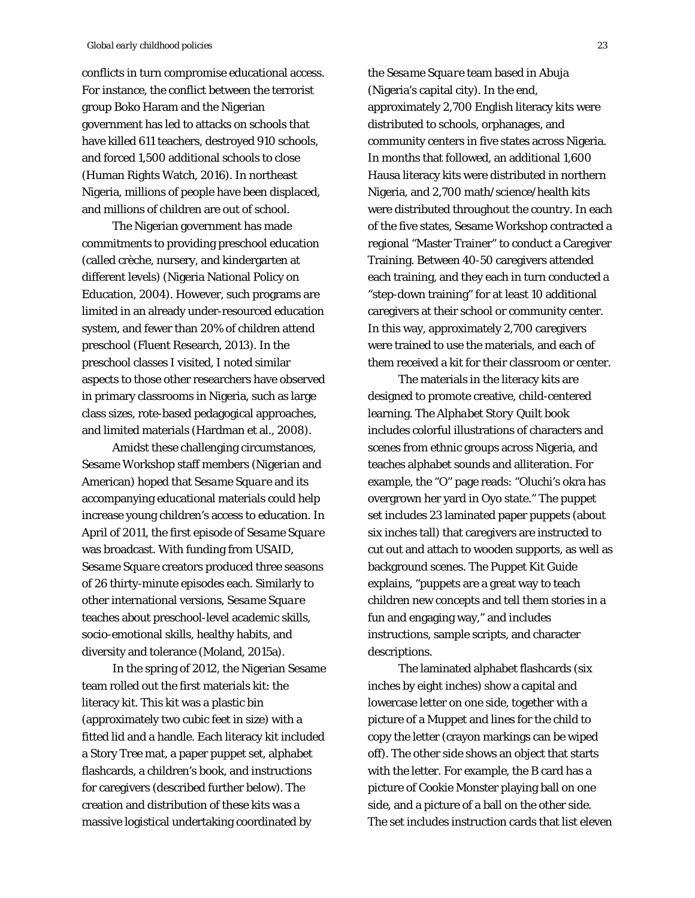conflicts in turn compromise educational access. For instance, the conflict between the terrorist group Boko Haram and the Nigerian government has led to attacks on schools that have killed 611 teachers, destroyed 910 schools, and forced 1,500 additional schools to close (Human Rights Watch, 2016). In northeast Nigeria, millions of people have been displaced, and millions of children are out of school.

The Nigerian government has made commitments to providing preschool education (called crèche, nursery, and kindergarten at different levels) (Nigeria National Policy on Education, 2004). However, such programs are limited in an already under-resourced education system, and fewer than 20% of children attend preschool (Fluent Research, 2013). In the preschool classes I visited, I noted similar aspects to those other researchers have observed in primary classrooms in Nigeria, such as large class sizes, rote-based pedagogical approaches, and limited materials (Hardman et al., 2008).

Amidst these challenging circumstances, Sesame Workshop staff members (Nigerian and American) hoped that *Sesame Square* and its accompanying educational materials could help increase young children's access to education. In April of 2011, the first episode of *Sesame Square* was broadcast. With funding from USAID, *Sesame Square* creators produced three seasons of 26 thirty-minute episodes each. Similarly to other international versions, *Sesame Square* teaches about preschool-level academic skills, socio-emotional skills, healthy habits, and diversity and tolerance (Moland, 2015a).

In the spring of 2012, the Nigerian Sesame team rolled out the first materials kit: the literacy kit. This kit was a plastic bin (approximately two cubic feet in size) with a fitted lid and a handle. Each literacy kit included a Story Tree mat, a paper puppet set, alphabet flashcards, a children's book, and instructions for caregivers (described further below). The creation and distribution of these kits was a massive logistical undertaking coordinated by

the *Sesame Square* team based in Abuja (Nigeria's capital city). In the end, approximately 2,700 English literacy kits were distributed to schools, orphanages, and community centers in five states across Nigeria. In months that followed, an additional 1,600 Hausa literacy kits were distributed in northern Nigeria, and 2,700 math/science/health kits were distributed throughout the country. In each of the five states, Sesame Workshop contracted a regional "Master Trainer" to conduct a Caregiver Training. Between 40-50 caregivers attended each training, and they each in turn conducted a "step-down training" for at least 10 additional caregivers at their school or community center. In this way, approximately 2,700 caregivers were trained to use the materials, and each of them received a kit for their classroom or center.

The materials in the literacy kits are designed to promote creative, child-centered learning. The *Alphabet Story Quilt* book includes colorful illustrations of characters and scenes from ethnic groups across Nigeria, and teaches alphabet sounds and alliteration. For example, the "O" page reads: "Oluchi's okra has overgrown her yard in Oyo state." The puppet set includes 23 laminated paper puppets (about six inches tall) that caregivers are instructed to cut out and attach to wooden supports, as well as background scenes. The Puppet Kit Guide explains, "puppets are a great way to teach children new concepts and tell them stories in a fun and engaging way," and includes instructions, sample scripts, and character descriptions.

The laminated alphabet flashcards (six inches by eight inches) show a capital and lowercase letter on one side, together with a picture of a Muppet and lines for the child to copy the letter (crayon markings can be wiped off). The other side shows an object that starts with the letter. For example, the B card has a picture of Cookie Monster playing ball on one side, and a picture of a ball on the other side. The set includes instruction cards that list eleven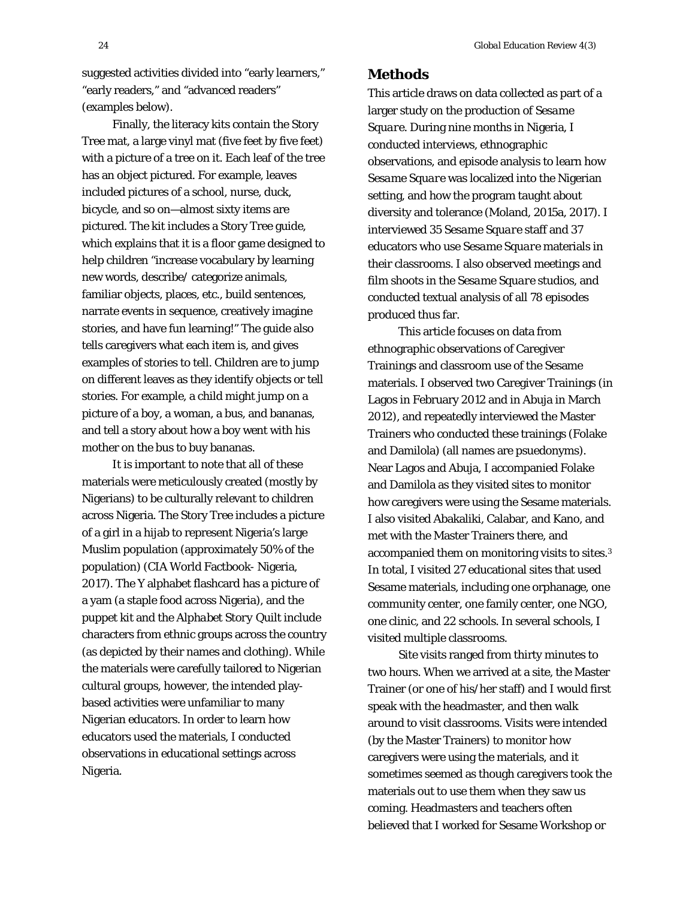suggested activities divided into "early learners," "early readers," and "advanced readers" (examples below).

Finally, the literacy kits contain the Story Tree mat, a large vinyl mat (five feet by five feet) with a picture of a tree on it. Each leaf of the tree has an object pictured. For example, leaves included pictures of a school, nurse, duck, bicycle, and so on—almost sixty items are pictured. The kit includes a Story Tree guide, which explains that it is a floor game designed to help children "increase vocabulary by learning new words, describe/ categorize animals, familiar objects, places, etc., build sentences, narrate events in sequence, creatively imagine stories, and have fun learning!" The guide also tells caregivers what each item is, and gives examples of stories to tell. Children are to jump on different leaves as they identify objects or tell stories. For example, a child might jump on a picture of a boy, a woman, a bus, and bananas, and tell a story about how a boy went with his mother on the bus to buy bananas.

It is important to note that all of these materials were meticulously created (mostly by Nigerians) to be culturally relevant to children across Nigeria. The Story Tree includes a picture of a girl in a hijab to represent Nigeria's large Muslim population (approximately 50% of the population) (CIA World Factbook- Nigeria, 2017). The Y alphabet flashcard has a picture of a yam (a staple food across Nigeria), and the puppet kit and the *Alphabet Story Quilt* include characters from ethnic groups across the country (as depicted by their names and clothing). While the materials were carefully tailored to Nigerian cultural groups, however, the intended playbased activities were unfamiliar to many Nigerian educators. In order to learn how educators used the materials, I conducted observations in educational settings across Nigeria.

## **Methods**

This article draws on data collected as part of a larger study on the production of *Sesame Square*. During nine months in Nigeria, I conducted interviews, ethnographic observations, and episode analysis to learn how *Sesame Square* was localized into the Nigerian setting, and how the program taught about diversity and tolerance (Moland, 2015a, 2017). I interviewed 35 *Sesame Square* staff and 37 educators who use *Sesame Square* materials in their classrooms. I also observed meetings and film shoots in the *Sesame Square* studios, and conducted textual analysis of all 78 episodes produced thus far.

This article focuses on data from ethnographic observations of Caregiver Trainings and classroom use of the Sesame materials. I observed two Caregiver Trainings (in Lagos in February 2012 and in Abuja in March 2012), and repeatedly interviewed the Master Trainers who conducted these trainings (Folake and Damilola) (all names are psuedonyms). Near Lagos and Abuja, I accompanied Folake and Damilola as they visited sites to monitor how caregivers were using the Sesame materials. I also visited Abakaliki, Calabar, and Kano, and met with the Master Trainers there, and accompanied them on monitoring visits to sites.3 In total, I visited 27 educational sites that used Sesame materials, including one orphanage, one community center, one family center, one NGO, one clinic, and 22 schools. In several schools, I visited multiple classrooms.

Site visits ranged from thirty minutes to two hours. When we arrived at a site, the Master Trainer (or one of his/her staff) and I would first speak with the headmaster, and then walk around to visit classrooms. Visits were intended (by the Master Trainers) to monitor how caregivers were using the materials, and it sometimes seemed as though caregivers took the materials out to use them when they saw us coming. Headmasters and teachers often believed that I worked for Sesame Workshop or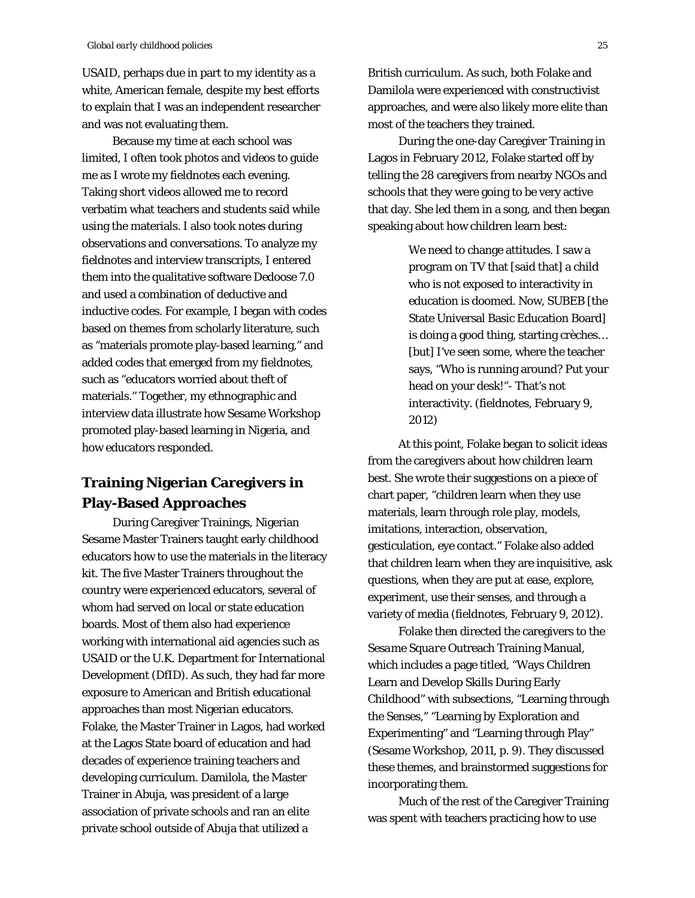USAID, perhaps due in part to my identity as a white, American female, despite my best efforts to explain that I was an independent researcher and was not evaluating them.

Because my time at each school was limited, I often took photos and videos to guide me as I wrote my fieldnotes each evening. Taking short videos allowed me to record verbatim what teachers and students said while using the materials. I also took notes during observations and conversations. To analyze my fieldnotes and interview transcripts, I entered them into the qualitative software *Dedoose 7.0* and used a combination of deductive and inductive codes. For example, I began with codes based on themes from scholarly literature, such as "materials promote play-based learning," and added codes that emerged from my fieldnotes, such as "educators worried about theft of materials." Together, my ethnographic and interview data illustrate how Sesame Workshop promoted play-based learning in Nigeria, and how educators responded.

## **Training Nigerian Caregivers in Play-Based Approaches**

During Caregiver Trainings, Nigerian Sesame Master Trainers taught early childhood educators how to use the materials in the literacy kit. The five Master Trainers throughout the country were experienced educators, several of whom had served on local or state education boards. Most of them also had experience working with international aid agencies such as USAID or the U.K. Department for International Development (DfID). As such, they had far more exposure to American and British educational approaches than most Nigerian educators. Folake, the Master Trainer in Lagos, had worked at the Lagos State board of education and had decades of experience training teachers and developing curriculum. Damilola, the Master Trainer in Abuja, was president of a large association of private schools and ran an elite private school outside of Abuja that utilized a

British curriculum. As such, both Folake and Damilola were experienced with constructivist approaches, and were also likely more elite than most of the teachers they trained.

During the one-day Caregiver Training in Lagos in February 2012, Folake started off by telling the 28 caregivers from nearby NGOs and schools that they were going to be very active that day. She led them in a song, and then began speaking about how children learn best:

> We need to change attitudes. I saw a program on TV that [said that] a child who is not exposed to interactivity in education is doomed. Now, SUBEB [the State Universal Basic Education Board] is doing a good thing, starting crèches… [but] I've seen some, where the teacher says, "Who is running around? Put your head on your desk!"- That's not interactivity. (fieldnotes, February 9, 2012)

At this point, Folake began to solicit ideas from the caregivers about how children learn best. She wrote their suggestions on a piece of chart paper, "children learn when they use materials, learn through role play, models, imitations, interaction, observation, gesticulation, eye contact." Folake also added that children learn when they are inquisitive, ask questions, when they are put at ease, explore, experiment, use their senses, and through a variety of media (fieldnotes, February 9, 2012).

Folake then directed the caregivers to the *Sesame Square* Outreach Training Manual, which includes a page titled, "Ways Children Learn and Develop Skills During Early Childhood" with subsections, "Learning through the Senses," "Learning by Exploration and Experimenting" and "Learning through Play" (Sesame Workshop, 2011, p. 9). They discussed these themes, and brainstormed suggestions for incorporating them.

Much of the rest of the Caregiver Training was spent with teachers practicing how to use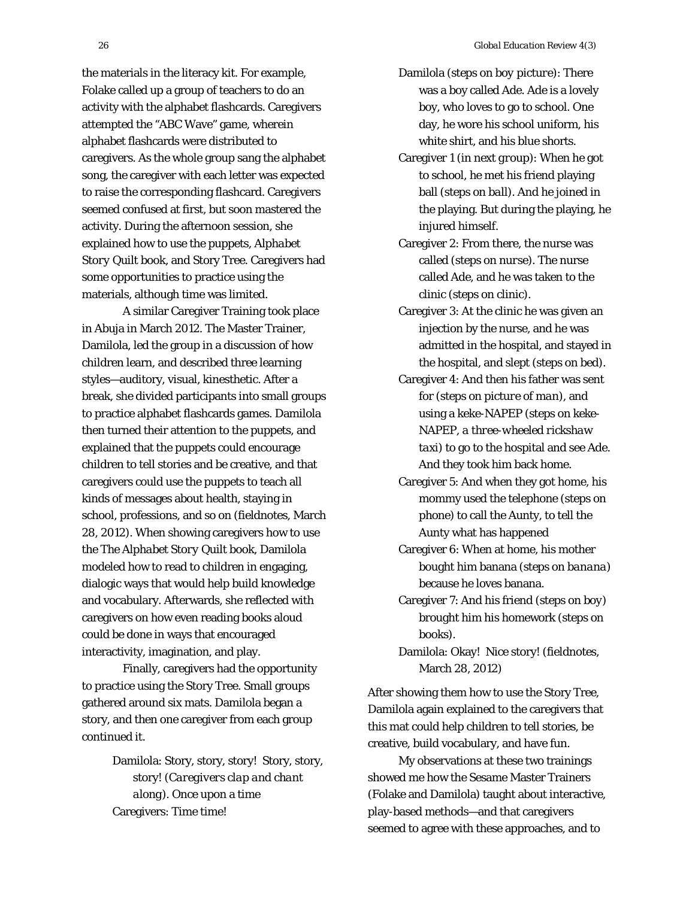the materials in the literacy kit. For example, Folake called up a group of teachers to do an activity with the alphabet flashcards. Caregivers attempted the "ABC Wave" game, wherein alphabet flashcards were distributed to caregivers. As the whole group sang the alphabet song, the caregiver with each letter was expected to raise the corresponding flashcard. Caregivers seemed confused at first, but soon mastered the activity. During the afternoon session, she explained how to use the puppets, *Alphabet Story Quilt* book, and Story Tree. Caregivers had some opportunities to practice using the materials, although time was limited.

 A similar Caregiver Training took place in Abuja in March 2012. The Master Trainer, Damilola, led the group in a discussion of how children learn, and described three learning styles—auditory, visual, kinesthetic. After a break, she divided participants into small groups to practice alphabet flashcards games. Damilola then turned their attention to the puppets, and explained that the puppets could encourage children to tell stories and be creative, and that caregivers could use the puppets to teach all kinds of messages about health, staying in school, professions, and so on (fieldnotes, March 28, 2012). When showing caregivers how to use the *The Alphabet Story Quilt* book, Damilola modeled how to read to children in engaging, dialogic ways that would help build knowledge and vocabulary. Afterwards, she reflected with caregivers on how even reading books aloud could be done in ways that encouraged interactivity, imagination, and play.

 Finally, caregivers had the opportunity to practice using the Story Tree. Small groups gathered around six mats. Damilola began a story, and then one caregiver from each group continued it.

> Damilola: Story, story, story! Story, story, story! (*Caregivers clap and chant along*). Once upon a time Caregivers: Time time!

- Damilola (*steps on boy picture*): There was a boy called Ade. Ade is a lovely boy, who loves to go to school. One day, he wore his school uniform, his white shirt, and his blue shorts.
- Caregiver 1 (*in next group*): When he got to school, he met his friend playing ball (*steps on ball*). And he joined in the playing. But during the playing, he injured himself.
- Caregiver 2: From there, the nurse was called (*steps on nurse*). The nurse called Ade, and he was taken to the clinic (*steps on clinic*).
- Caregiver 3: At the clinic he was given an injection by the nurse, and he was admitted in the hospital, and stayed in the hospital, and slept (*steps on bed*).
- Caregiver 4: And then his father was sent for (*steps on picture of man*), and using a keke-NAPEP (*steps on keke-NAPEP, a three-wheeled rickshaw taxi*) to go to the hospital and see Ade. And they took him back home.
- Caregiver 5: And when they got home, his mommy used the telephone (*steps on phone*) to call the Aunty, to tell the Aunty what has happened
- Caregiver 6: When at home, his mother bought him banana (*steps on banana*) because he loves banana.
- Caregiver 7: And his friend (*steps on boy*) brought him his homework (*steps on books*).
- Damilola: Okay! Nice story! (fieldnotes, March 28, 2012)

After showing them how to use the Story Tree, Damilola again explained to the caregivers that this mat could help children to tell stories, be creative, build vocabulary, and have fun.

My observations at these two trainings showed me how the Sesame Master Trainers (Folake and Damilola) taught about interactive, play-based methods—and that caregivers seemed to agree with these approaches, and to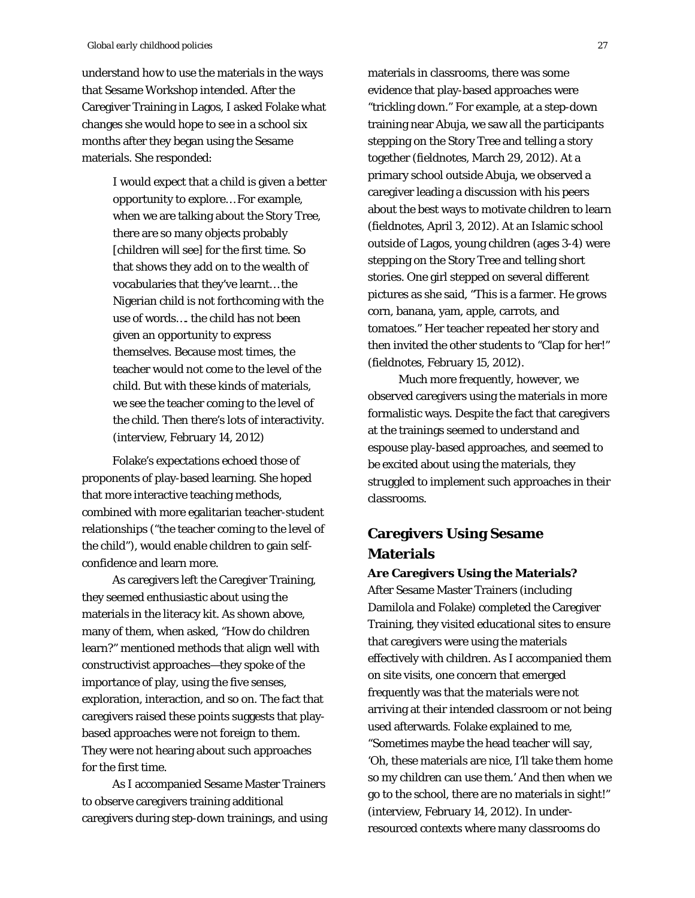understand how to use the materials in the ways that Sesame Workshop intended. After the Caregiver Training in Lagos, I asked Folake what changes she would hope to see in a school six months after they began using the Sesame materials. She responded:

> I would expect that a child is given a better opportunity to explore… For example, when we are talking about the Story Tree, there are so many objects probably [children will see] for the first time. So that shows they add on to the wealth of vocabularies that they've learnt… the Nigerian child is not forthcoming with the use of words…. the child has not been given an opportunity to express themselves. Because most times, the teacher would not come to the level of the child. But with these kinds of materials, we see the teacher coming to the level of the child. Then there's lots of interactivity. (interview, February 14, 2012)

Folake's expectations echoed those of proponents of play-based learning. She hoped that more interactive teaching methods, combined with more egalitarian teacher-student relationships ("the teacher coming to the level of the child"), would enable children to gain selfconfidence and learn more.

As caregivers left the Caregiver Training, they seemed enthusiastic about using the materials in the literacy kit. As shown above, many of them, when asked, "How do children learn?" mentioned methods that align well with constructivist approaches—they spoke of the importance of play, using the five senses, exploration, interaction, and so on. The fact that caregivers raised these points suggests that playbased approaches were not foreign to them. They were not hearing about such approaches for the first time.

As I accompanied Sesame Master Trainers to observe caregivers training additional caregivers during step-down trainings, and using materials in classrooms, there was some evidence that play-based approaches were "trickling down." For example, at a step-down training near Abuja, we saw all the participants stepping on the Story Tree and telling a story together (fieldnotes, March 29, 2012). At a primary school outside Abuja, we observed a caregiver leading a discussion with his peers about the best ways to motivate children to learn (fieldnotes, April 3, 2012). At an Islamic school outside of Lagos, young children (ages 3-4) were stepping on the Story Tree and telling short stories. One girl stepped on several different pictures as she said, "This is a farmer. He grows corn, banana, yam, apple, carrots, and tomatoes." Her teacher repeated her story and then invited the other students to "Clap for her!" (fieldnotes, February 15, 2012).

Much more frequently, however, we observed caregivers using the materials in more formalistic ways. Despite the fact that caregivers at the trainings seemed to understand and espouse play-based approaches, and seemed to be excited about using the materials, they struggled to implement such approaches in their classrooms.

# **Caregivers Using Sesame Materials**

#### **Are Caregivers Using the Materials?**

After Sesame Master Trainers (including Damilola and Folake) completed the Caregiver Training, they visited educational sites to ensure that caregivers were using the materials effectively with children. As I accompanied them on site visits, one concern that emerged frequently was that the materials were not arriving at their intended classroom or not being used afterwards. Folake explained to me, "Sometimes maybe the head teacher will say, 'Oh, these materials are nice, I'll take them home so my children can use them.' And then when we go to the school, there are no materials in sight!" (interview, February 14, 2012). In underresourced contexts where many classrooms do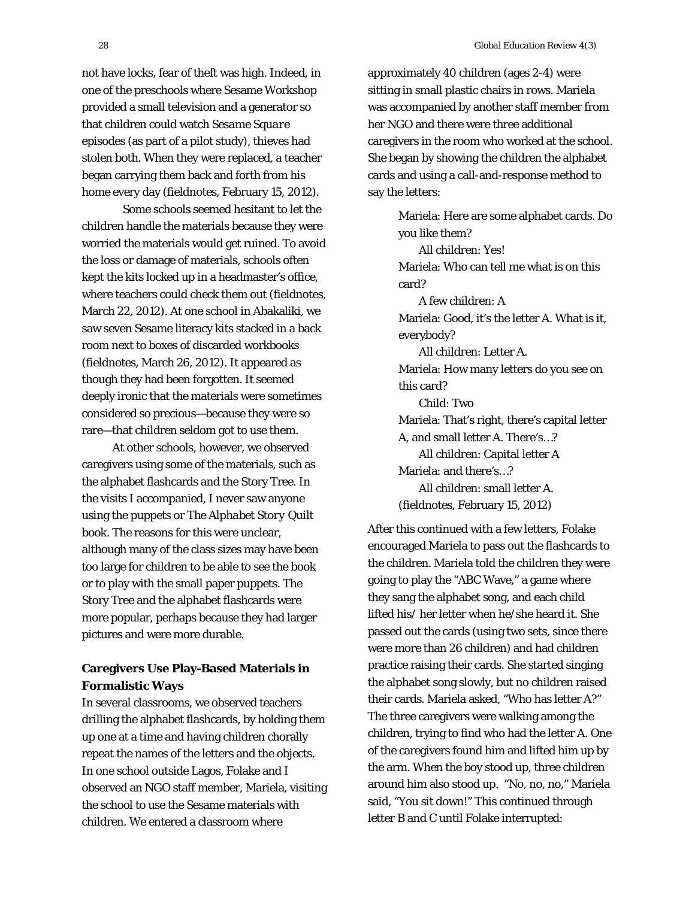not have locks, fear of theft was high. Indeed, in one of the preschools where Sesame Workshop provided a small television and a generator so that children could watch *Sesame Square* episodes (as part of a pilot study), thieves had stolen both. When they were replaced, a teacher began carrying them back and forth from his home every day (fieldnotes, February 15, 2012).

 Some schools seemed hesitant to let the children handle the materials because they were worried the materials would get ruined. To avoid the loss or damage of materials, schools often kept the kits locked up in a headmaster's office, where teachers could check them out (fieldnotes, March 22, 2012). At one school in Abakaliki, we saw seven Sesame literacy kits stacked in a back room next to boxes of discarded workbooks (fieldnotes, March 26, 2012). It appeared as though they had been forgotten. It seemed deeply ironic that the materials were sometimes considered so precious—because they were so rare—that children seldom got to use them.

At other schools, however, we observed caregivers using some of the materials, such as the alphabet flashcards and the Story Tree. In the visits I accompanied, I never saw anyone using the puppets or *The Alphabet Story Quilt* book. The reasons for this were unclear, although many of the class sizes may have been too large for children to be able to see the book or to play with the small paper puppets. The Story Tree and the alphabet flashcards were more popular, perhaps because they had larger pictures and were more durable.

## **Caregivers Use Play-Based Materials in Formalistic Ways**

In several classrooms, we observed teachers drilling the alphabet flashcards, by holding them up one at a time and having children chorally repeat the names of the letters and the objects. In one school outside Lagos, Folake and I observed an NGO staff member, Mariela, visiting the school to use the Sesame materials with children. We entered a classroom where

approximately 40 children (ages 2-4) were sitting in small plastic chairs in rows. Mariela was accompanied by another staff member from her NGO and there were three additional caregivers in the room who worked at the school. She began by showing the children the alphabet cards and using a call-and-response method to say the letters:

Mariela: Here are some alphabet cards. Do you like them? All children: Yes! Mariela: Who can tell me what is on this card? A few children: A Mariela: Good, it's the letter A. What is it, everybody? All children: Letter A. Mariela: How many letters do you see on this card? Child: Two Mariela: That's right, there's capital letter A, and small letter A. There's…? All children: Capital letter A Mariela: and there's…? All children: small letter A. (fieldnotes, February 15, 2012)

After this continued with a few letters, Folake encouraged Mariela to pass out the flashcards to the children. Mariela told the children they were going to play the "ABC Wave," a game where they sang the alphabet song, and each child lifted his/ her letter when he/she heard it. She passed out the cards (using two sets, since there were more than 26 children) and had children practice raising their cards. She started singing the alphabet song slowly, but no children raised their cards. Mariela asked, "Who has letter A?" The three caregivers were walking among the children, trying to find who had the letter A. One of the caregivers found him and lifted him up by the arm. When the boy stood up, three children around him also stood up. "No, no, no," Mariela said, "You sit down!" This continued through letter B and C until Folake interrupted: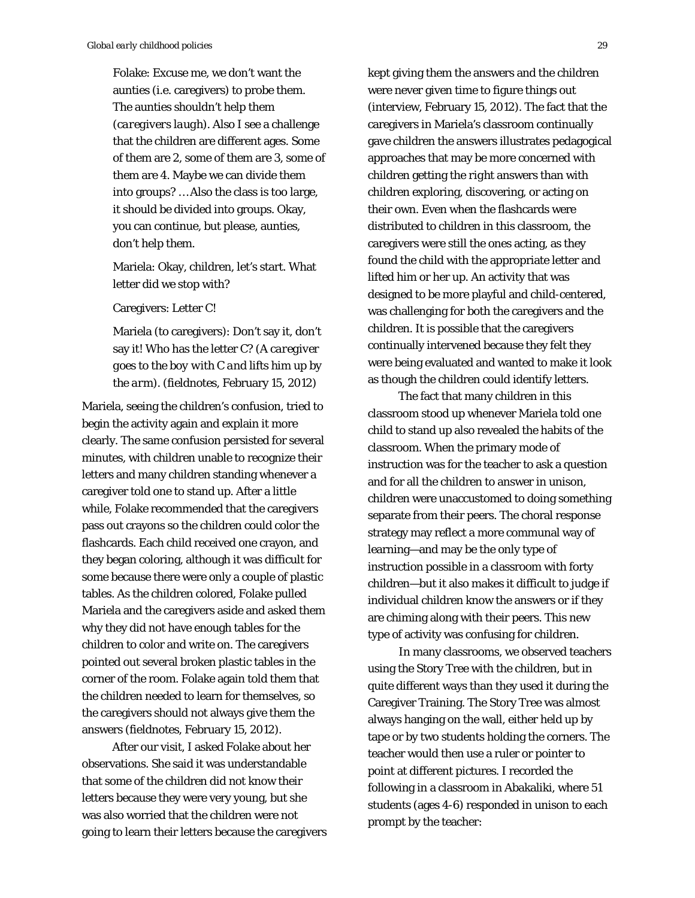Folake: Excuse me, we don't want the aunties (i.e. caregivers) to probe them. The aunties shouldn't help them (*caregivers laugh*). Also I see a challenge that the children are different ages. Some of them are 2, some of them are 3, some of them are 4. Maybe we can divide them into groups? … Also the class is too large, it should be divided into groups. Okay, you can continue, but please, aunties, don't help them.

Mariela: Okay, children, let's start. What letter did we stop with?

Caregivers: Letter C!

Mariela (to caregivers): Don't say it, don't say it! Who has the letter C? (*A caregiver goes to the boy with C and lifts him up by the arm*). (fieldnotes, February 15, 2012)

Mariela, seeing the children's confusion, tried to begin the activity again and explain it more clearly. The same confusion persisted for several minutes, with children unable to recognize their letters and many children standing whenever a caregiver told one to stand up. After a little while, Folake recommended that the caregivers pass out crayons so the children could color the flashcards. Each child received one crayon, and they began coloring, although it was difficult for some because there were only a couple of plastic tables. As the children colored, Folake pulled Mariela and the caregivers aside and asked them why they did not have enough tables for the children to color and write on. The caregivers pointed out several broken plastic tables in the corner of the room. Folake again told them that the children needed to learn for themselves, so the caregivers should not always give them the answers (fieldnotes, February 15, 2012).

After our visit, I asked Folake about her observations. She said it was understandable that some of the children did not know their letters because they were very young, but she was also worried that the children were not going to learn their letters because the caregivers

kept giving them the answers and the children were never given time to figure things out (interview, February 15, 2012). The fact that the caregivers in Mariela's classroom continually gave children the answers illustrates pedagogical approaches that may be more concerned with children getting the *right* answers than with children exploring, discovering, or acting on their own. Even when the flashcards were distributed to children in this classroom, the caregivers were still the ones acting, as they found the child with the appropriate letter and lifted him or her up. An activity that was designed to be more playful and child-centered, was challenging for both the caregivers and the children. It is possible that the caregivers continually intervened because they felt they were being evaluated and wanted to make it look as though the children could identify letters.

The fact that many children in this classroom stood up whenever Mariela told one child to stand up also revealed the habits of the classroom. When the primary mode of instruction was for the teacher to ask a question and for all the children to answer in unison, children were unaccustomed to doing something separate from their peers. The choral response strategy may reflect a more communal way of learning—and may be the only type of instruction possible in a classroom with forty children—but it also makes it difficult to judge if individual children know the answers or if they are chiming along with their peers. This new type of activity was confusing for children.

In many classrooms, we observed teachers using the Story Tree with the children, but in quite different ways than they used it during the Caregiver Training. The Story Tree was almost always hanging on the wall, either held up by tape or by two students holding the corners. The teacher would then use a ruler or pointer to point at different pictures. I recorded the following in a classroom in Abakaliki, where 51 students (ages 4-6) responded in unison to each prompt by the teacher: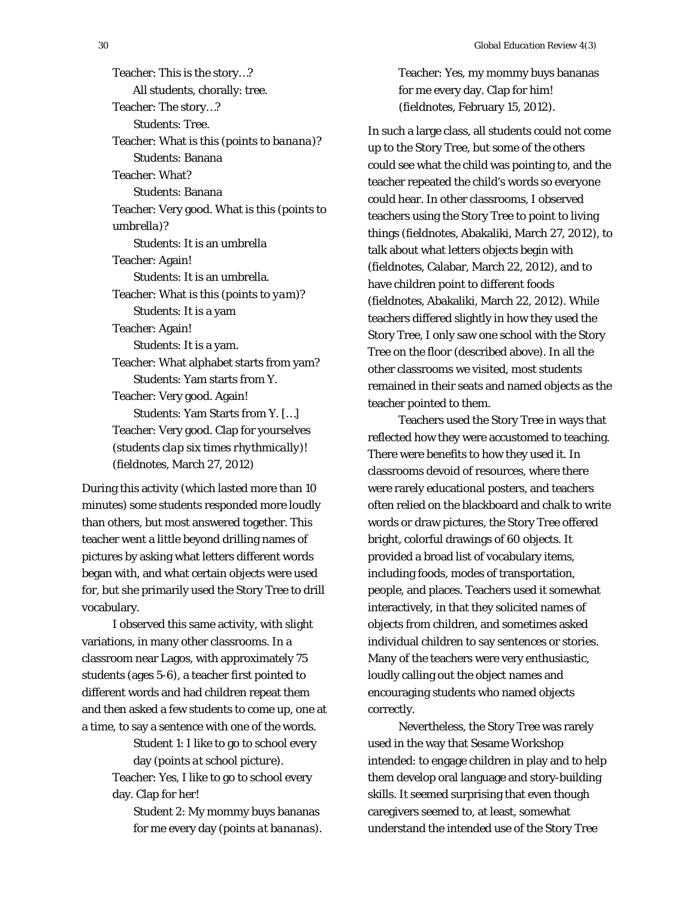Teacher: This is the story…? All students, chorally: tree. Teacher: The story…? Students: Tree. Teacher: What is this (*points to banana*)? Students: Banana Teacher: What? Students: Banana Teacher: Very good. What is this (*points to umbrella*)? Students: It is an umbrella Teacher: Again! Students: It is an umbrella. Teacher: What is this (*points to yam*)? Students: It is a yam Teacher: Again! Students: It is a yam. Teacher: What alphabet starts from yam? Students: Yam starts from Y. Teacher: Very good. Again! Students: Yam Starts from Y. […] Teacher: Very good. Clap for yourselves (*students clap six times rhythmically*)! (fieldnotes, March 27, 2012)

During this activity (which lasted more than 10 minutes) some students responded more loudly than others, but most answered together. This teacher went a little beyond drilling names of pictures by asking what letters different words began with, and what certain objects were used for, but she primarily used the Story Tree to drill vocabulary.

I observed this same activity, with slight variations, in many other classrooms. In a classroom near Lagos, with approximately 75 students (ages 5-6), a teacher first pointed to different words and had children repeat them and then asked a few students to come up, one at a time, to say a sentence with one of the words.

> Student 1: I like to go to school every day (*points at school picture*). Teacher: Yes, I like to go to school every

day. Clap for her!

Student 2: My mommy buys bananas for me every day (*points at bananas*). Teacher: Yes, my mommy buys bananas for me every day. Clap for him! (fieldnotes, February 15, 2012).

In such a large class, all students could not come up to the Story Tree, but some of the others could see what the child was pointing to, and the teacher repeated the child's words so everyone could hear. In other classrooms, I observed teachers using the Story Tree to point to living things (fieldnotes, Abakaliki, March 27, 2012), to talk about what letters objects begin with (fieldnotes, Calabar, March 22, 2012), and to have children point to different foods (fieldnotes, Abakaliki, March 22, 2012). While teachers differed slightly in how they used the Story Tree, I only saw one school with the Story Tree on the floor (described above). In all the other classrooms we visited, most students remained in their seats and named objects as the teacher pointed to them.

Teachers used the Story Tree in ways that reflected how they were accustomed to teaching. There were benefits to how they used it. In classrooms devoid of resources, where there were rarely educational posters, and teachers often relied on the blackboard and chalk to write words or draw pictures, the Story Tree offered bright, colorful drawings of 60 objects. It provided a broad list of vocabulary items, including foods, modes of transportation, people, and places. Teachers used it somewhat interactively, in that they solicited names of objects from children, and sometimes asked individual children to say sentences or stories. Many of the teachers were very enthusiastic, loudly calling out the object names and encouraging students who named objects correctly.

Nevertheless, the Story Tree was rarely used in the way that Sesame Workshop intended: to engage children in play and to help them develop oral language and story-building skills. It seemed surprising that even though caregivers seemed to, at least, somewhat understand the intended use of the Story Tree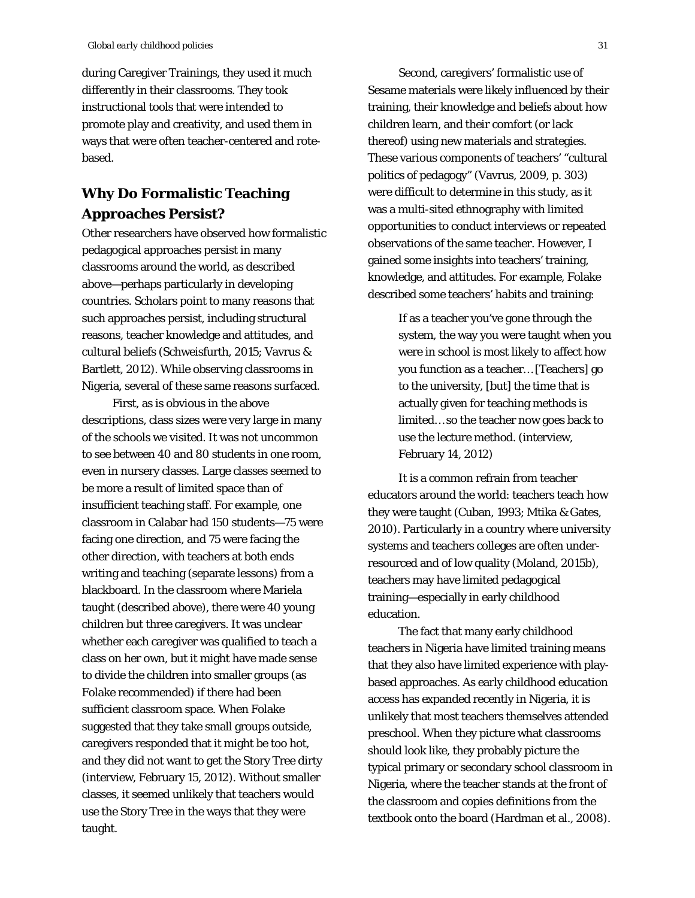during Caregiver Trainings, they used it much differently in their classrooms. They took instructional tools that were intended to promote play and creativity, and used them in ways that were often teacher-centered and rotebased.

## **Why Do Formalistic Teaching Approaches Persist?**

Other researchers have observed how formalistic pedagogical approaches persist in many classrooms around the world, as described above—perhaps particularly in developing countries. Scholars point to many reasons that such approaches persist, including structural reasons, teacher knowledge and attitudes, and cultural beliefs (Schweisfurth, 2015; Vavrus & Bartlett, 2012). While observing classrooms in Nigeria, several of these same reasons surfaced.

First, as is obvious in the above descriptions, class sizes were very large in many of the schools we visited. It was not uncommon to see between 40 and 80 students in one room, even in nursery classes. Large classes seemed to be more a result of limited space than of insufficient teaching staff. For example, one classroom in Calabar had 150 students—75 were facing one direction, and 75 were facing the other direction, with teachers at both ends writing and teaching (separate lessons) from a blackboard. In the classroom where Mariela taught (described above), there were 40 young children but three caregivers. It was unclear whether each caregiver was qualified to teach a class on her own, but it might have made sense to divide the children into smaller groups (as Folake recommended) if there had been sufficient classroom space. When Folake suggested that they take small groups outside, caregivers responded that it might be too hot, and they did not want to get the Story Tree dirty (interview, February 15, 2012). Without smaller classes, it seemed unlikely that teachers would use the Story Tree in the ways that they were taught.

Second, caregivers' formalistic use of Sesame materials were likely influenced by their training, their knowledge and beliefs about how children learn, and their comfort (or lack thereof) using new materials and strategies. These various components of teachers' "cultural politics of pedagogy" (Vavrus, 2009, p. 303) were difficult to determine in this study, as it was a multi-sited ethnography with limited opportunities to conduct interviews or repeated observations of the same teacher. However, I gained some insights into teachers' training, knowledge, and attitudes. For example, Folake described some teachers' habits and training:

> If as a teacher you've gone through the system, the way you were taught when you were in school is most likely to affect how you function as a teacher… [Teachers] go to the university, [but] the time that is actually given for teaching methods is limited… so the teacher now goes back to use the lecture method. (interview, February 14, 2012)

It is a common refrain from teacher educators around the world: teachers teach how they were taught (Cuban, 1993; Mtika & Gates, 2010). Particularly in a country where university systems and teachers colleges are often underresourced and of low quality (Moland, 2015b), teachers may have limited pedagogical training—especially in early childhood education.

The fact that many early childhood teachers in Nigeria have limited training means that they also have limited experience with playbased approaches. As early childhood education access has expanded recently in Nigeria, it is unlikely that most teachers themselves attended preschool. When they picture what classrooms should look like, they probably picture the typical primary or secondary school classroom in Nigeria, where the teacher stands at the front of the classroom and copies definitions from the textbook onto the board (Hardman et al., 2008).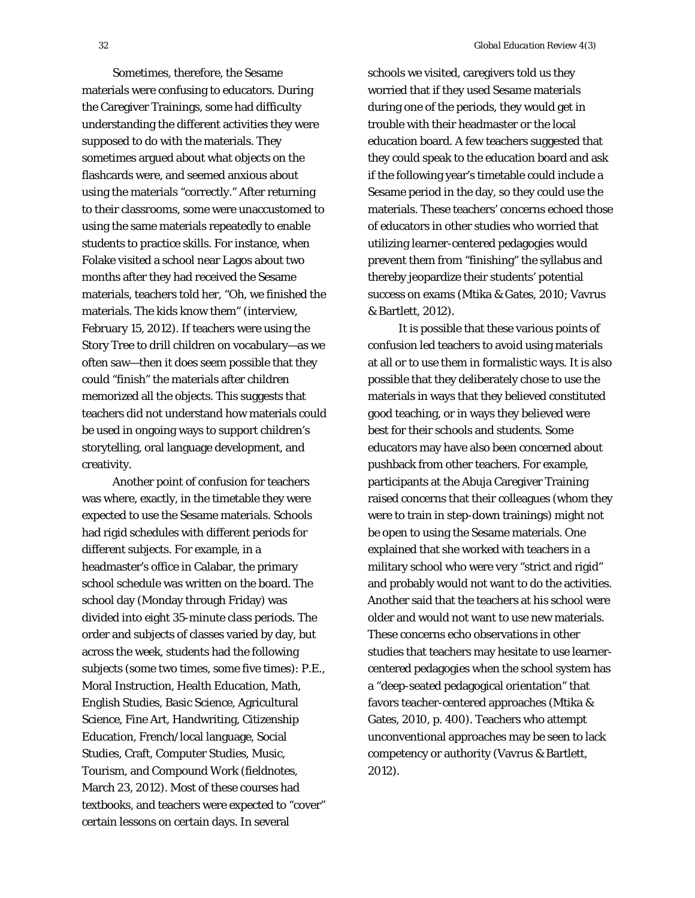Sometimes, therefore, the Sesame materials were confusing to educators. During the Caregiver Trainings, some had difficulty understanding the different activities they were supposed to do with the materials. They sometimes argued about what objects on the flashcards were, and seemed anxious about using the materials "correctly." After returning to their classrooms, some were unaccustomed to using the same materials repeatedly to enable students to practice skills. For instance, when Folake visited a school near Lagos about two months after they had received the Sesame materials, teachers told her, "Oh, we finished the materials. The kids know them" (interview, February 15, 2012). If teachers were using the Story Tree to drill children on vocabulary—as we often saw—then it does seem possible that they could "finish" the materials after children memorized all the objects. This suggests that teachers did not understand how materials could be used in ongoing ways to support children's storytelling, oral language development, and creativity.

Another point of confusion for teachers was where, exactly, in the timetable they were expected to use the Sesame materials. Schools had rigid schedules with different periods for different subjects. For example, in a headmaster's office in Calabar, the primary school schedule was written on the board. The school day (Monday through Friday) was divided into eight 35-minute class periods. The order and subjects of classes varied by day, but across the week, students had the following subjects (some two times, some five times): P.E., Moral Instruction, Health Education, Math, English Studies, Basic Science, Agricultural Science, Fine Art, Handwriting, Citizenship Education, French/local language, Social Studies, Craft, Computer Studies, Music, Tourism, and Compound Work (fieldnotes, March 23, 2012). Most of these courses had textbooks, and teachers were expected to "cover" certain lessons on certain days. In several

schools we visited, caregivers told us they worried that if they used Sesame materials during one of the periods, they would get in trouble with their headmaster or the local education board. A few teachers suggested that they could speak to the education board and ask if the following year's timetable could include a Sesame period in the day, so they could use the materials. These teachers' concerns echoed those of educators in other studies who worried that utilizing learner-centered pedagogies would prevent them from "finishing" the syllabus and thereby jeopardize their students' potential success on exams (Mtika & Gates, 2010; Vavrus & Bartlett, 2012).

It is possible that these various points of confusion led teachers to avoid using materials at all or to use them in formalistic ways. It is also possible that they deliberately chose to use the materials in ways that they believed constituted good teaching, or in ways they believed were best for their schools and students. Some educators may have also been concerned about pushback from other teachers. For example, participants at the Abuja Caregiver Training raised concerns that their colleagues (whom they were to train in step-down trainings) might not be open to using the Sesame materials. One explained that she worked with teachers in a military school who were very "strict and rigid" and probably would not want to do the activities. Another said that the teachers at his school were older and would not want to use new materials. These concerns echo observations in other studies that teachers may hesitate to use learnercentered pedagogies when the school system has a "deep-seated pedagogical orientation" that favors teacher-centered approaches (Mtika & Gates, 2010, p. 400). Teachers who attempt unconventional approaches may be seen to lack competency or authority (Vavrus & Bartlett, 2012).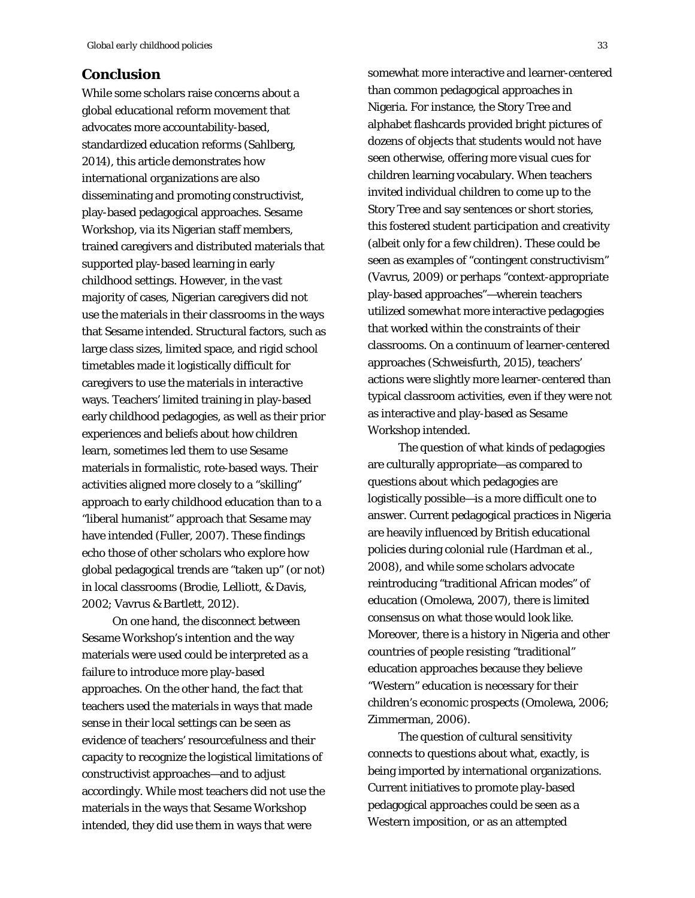## **Conclusion**

While some scholars raise concerns about a global educational reform movement that advocates more accountability-based, standardized education reforms (Sahlberg, 2014), this article demonstrates how international organizations are also disseminating and promoting constructivist, play-based pedagogical approaches. Sesame Workshop, via its Nigerian staff members, trained caregivers and distributed materials that supported play-based learning in early childhood settings. However, in the vast majority of cases, Nigerian caregivers did not use the materials in their classrooms in the ways that Sesame intended. Structural factors, such as large class sizes, limited space, and rigid school timetables made it logistically difficult for caregivers to use the materials in interactive ways. Teachers' limited training in play-based early childhood pedagogies, as well as their prior experiences and beliefs about how children learn, sometimes led them to use Sesame materials in formalistic, rote-based ways. Their activities aligned more closely to a "skilling" approach to early childhood education than to a "liberal humanist" approach that Sesame may have intended (Fuller, 2007). These findings echo those of other scholars who explore how global pedagogical trends are "taken up" (or not) in local classrooms (Brodie, Lelliott, & Davis, 2002; Vavrus & Bartlett, 2012).

On one hand, the disconnect between Sesame Workshop's intention and the way materials were used could be interpreted as a failure to introduce more play-based approaches. On the other hand, the fact that teachers used the materials in ways that made sense in their local settings can be seen as evidence of teachers' resourcefulness and their capacity to recognize the logistical limitations of constructivist approaches—and to adjust accordingly. While most teachers did not use the materials in the ways that Sesame Workshop intended, they did use them in ways that were

somewhat more interactive and learner-centered than common pedagogical approaches in Nigeria. For instance, the Story Tree and alphabet flashcards provided bright pictures of dozens of objects that students would not have seen otherwise, offering more visual cues for children learning vocabulary. When teachers invited individual children to come up to the Story Tree and say sentences or short stories, this fostered student participation and creativity (albeit only for a few children). These could be seen as examples of "contingent constructivism" (Vavrus, 2009) or perhaps "context-appropriate play-based approaches"—wherein teachers utilized *somewhat* more interactive pedagogies that worked within the constraints of their classrooms. On a continuum of learner-centered approaches (Schweisfurth, 2015), teachers' actions were slightly more learner-centered than typical classroom activities, even if they were not as interactive and play-based as Sesame Workshop intended.

The question of what kinds of pedagogies are culturally appropriate—as compared to questions about which pedagogies are logistically possible—is a more difficult one to answer. Current pedagogical practices in Nigeria are heavily influenced by British educational policies during colonial rule (Hardman et al., 2008), and while some scholars advocate reintroducing "traditional African modes" of education (Omolewa, 2007), there is limited consensus on what those would look like. Moreover, there is a history in Nigeria and other countries of people *resisting* "traditional" education approaches because they believe "Western" education is necessary for their children's economic prospects (Omolewa, 2006; Zimmerman, 2006).

The question of cultural sensitivity connects to questions about what, exactly, is being imported by international organizations. Current initiatives to promote play-based pedagogical approaches could be seen as a Western imposition, *or* as an attempted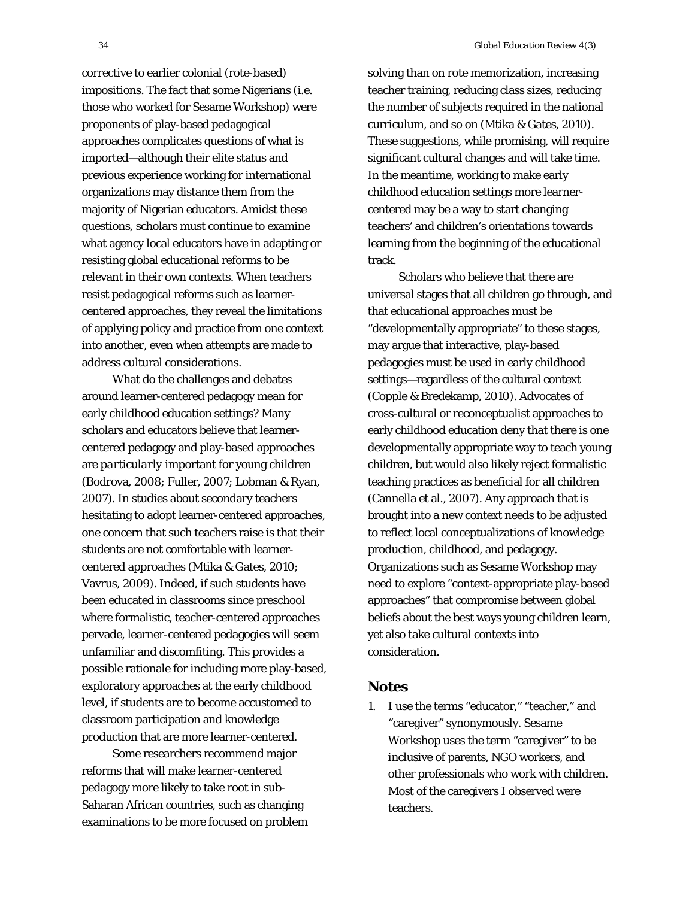corrective to earlier colonial (rote-based) impositions. The fact that some Nigerians (i.e. those who worked for Sesame Workshop) were proponents of play-based pedagogical approaches complicates questions of what is imported—although their elite status and previous experience working for international organizations may distance them from the majority of Nigerian educators. Amidst these questions, scholars must continue to examine what agency local educators have in adapting or resisting global educational reforms to be relevant in their own contexts. When teachers resist pedagogical reforms such as learnercentered approaches, they reveal the limitations of applying policy and practice from one context into another, even when attempts are made to address cultural considerations.

What do the challenges and debates around learner-centered pedagogy mean for early childhood education settings? Many scholars and educators believe that learnercentered pedagogy and play-based approaches are *particularly* important for young children (Bodrova, 2008; Fuller, 2007; Lobman & Ryan, 2007). In studies about secondary teachers hesitating to adopt learner-centered approaches, one concern that such teachers raise is that their students are not comfortable with learnercentered approaches (Mtika & Gates, 2010; Vavrus, 2009). Indeed, if such students have been educated in classrooms since preschool where formalistic, teacher-centered approaches pervade, learner-centered pedagogies will seem unfamiliar and discomfiting. This provides a possible rationale for including more play-based, exploratory approaches at the early childhood level, if students are to become accustomed to classroom participation and knowledge production that are more learner-centered.

Some researchers recommend major reforms that will make learner-centered pedagogy more likely to take root in sub-Saharan African countries, such as changing examinations to be more focused on problem

solving than on rote memorization, increasing teacher training, reducing class sizes, reducing the number of subjects required in the national curriculum, and so on (Mtika & Gates, 2010). These suggestions, while promising, will require significant cultural changes and will take time. In the meantime, working to make early childhood education settings more learnercentered may be a way to start changing teachers' and children's orientations towards learning from the beginning of the educational track.

Scholars who believe that there are universal stages that all children go through, and that educational approaches must be "developmentally appropriate" to these stages, may argue that interactive, play-based pedagogies must be used in early childhood settings—regardless of the cultural context (Copple & Bredekamp, 2010). Advocates of cross-cultural or reconceptualist approaches to early childhood education deny that there is one developmentally appropriate way to teach young children, but would also likely reject formalistic teaching practices as beneficial for all children (Cannella et al., 2007). Any approach that is brought into a new context needs to be adjusted to reflect local conceptualizations of knowledge production, childhood, and pedagogy. Organizations such as Sesame Workshop may need to explore "context-appropriate play-based approaches" that compromise between global beliefs about the best ways young children learn, yet also take cultural contexts into consideration.

#### **Notes**

1. I use the terms "educator," "teacher," and "caregiver" synonymously. Sesame Workshop uses the term "caregiver" to be inclusive of parents, NGO workers, and other professionals who work with children. Most of the caregivers I observed were teachers.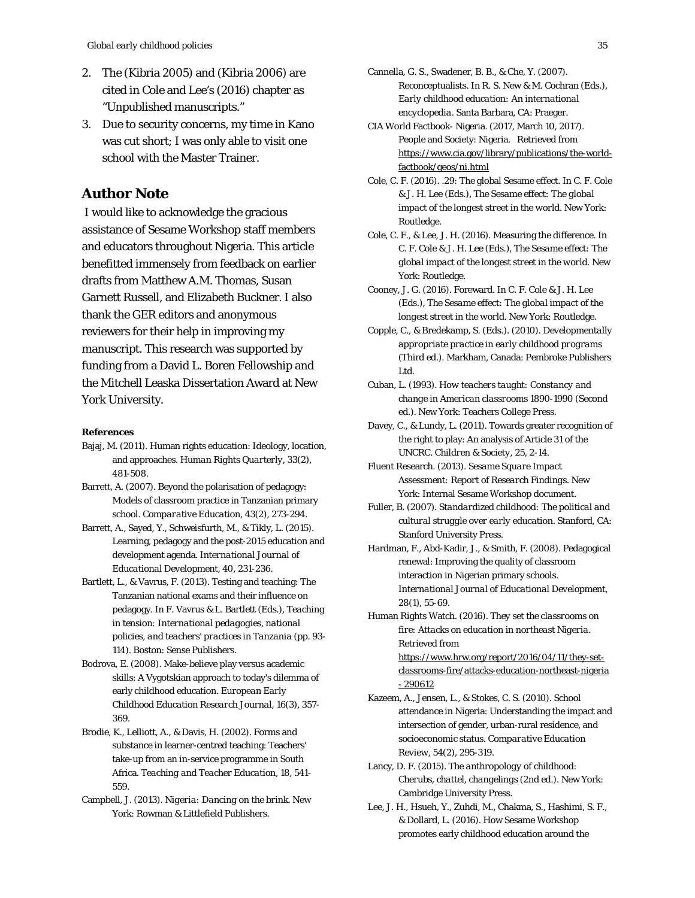- 2. The (Kibria 2005) and (Kibria 2006) are cited in Cole and Lee's (2016) chapter as "Unpublished manuscripts."
- 3. Due to security concerns, my time in Kano was cut short; I was only able to visit one school with the Master Trainer.

## **Author Note**

 I would like to acknowledge the gracious assistance of Sesame Workshop staff members and educators throughout Nigeria. This article benefitted immensely from feedback on earlier drafts from Matthew A.M. Thomas, Susan Garnett Russell, and Elizabeth Buckner. I also thank the GER editors and anonymous reviewers for their help in improving my manuscript. This research was supported by funding from a David L. Boren Fellowship and the Mitchell Leaska Dissertation Award at New York University.

#### **References**

- Bajaj, M. (2011). Human rights education: Ideology, location, and approaches. *Human Rights Quarterly, 33*(2), 481-508.
- Barrett, A. (2007). Beyond the polarisation of pedagogy: Models of classroom practice in Tanzanian primary school. *Comparative Education, 43*(2), 273-294.
- Barrett, A., Sayed, Y., Schweisfurth, M., & Tikly, L. (2015). Learning, pedagogy and the post-2015 education and development agenda. *International Journal of Educational Development, 40*, 231-236.
- Bartlett, L., & Vavrus, F. (2013). Testing and teaching: The Tanzanian national exams and their influence on pedagogy. In F. Vavrus & L. Bartlett (Eds.), *Teaching in tension: International pedagogies, national policies, and teachers' practices in Tanzania* (pp. 93- 114). Boston: Sense Publishers.
- Bodrova, E. (2008). Make-believe play versus academic skills: A Vygotskian approach to today's dilemma of early childhood education. *European Early Childhood Education Research Journal, 16*(3), 357- 369.
- Brodie, K., Lelliott, A., & Davis, H. (2002). Forms and substance in learner-centred teaching: Teachers' take-up from an in-service programme in South Africa. *Teaching and Teacher Education, 18*, 541- 559.
- Campbell, J. (2013). *Nigeria: Dancing on the brink*. New York: Rowman & Littlefield Publishers.
- Cannella, G. S., Swadener, B. B., & Che, Y. (2007). Reconceptualists. In R. S. New & M. Cochran (Eds.), *Early childhood education: An international encyclopedia*. Santa Barbara, CA: Praeger.
- CIA World Factbook- Nigeria. (2017, March 10, 2017). People and Society: Nigeria. Retrieved from https://www.cia.gov/library/publications/the-worldfactbook/geos/ni.html
- Cole, C. F. (2016). .29: The global Sesame effect. In C. F. Cole & J. H. Lee (Eds.), *The Sesame effect: The global impact of the longest street in the world*. New York: Routledge.
- Cole, C. F., & Lee, J. H. (2016). Measuring the difference. In C. F. Cole & J. H. Lee (Eds.), *The Sesame effect: The global impact of the longest street in the world*. New York: Routledge.
- Cooney, J. G. (2016). Foreward. In C. F. Cole & J. H. Lee (Eds.), *The Sesame effect: The global impact of the longest street in the world*. New York: Routledge.
- Copple, C., & Bredekamp, S. (Eds.). (2010). *Developmentally appropriate practice in early childhood programs* (Third ed.). Markham, Canada: Pembroke Publishers Ltd.
- Cuban, L. (1993). *How teachers taught: Constancy and change in American classrooms 1890-1990* (Second ed.). New York: Teachers College Press.
- Davey, C., & Lundy, L. (2011). Towards greater recognition of the right to play: An analysis of Article 31 of the UNCRC. *Children & Society, 25*, 2-14.
- Fluent Research. (2013). *Sesame Square Impact Assessment: Report of Research Findings*. New York: Internal Sesame Workshop document.
- Fuller, B. (2007). *Standardized childhood: The political and cultural struggle over early education*. Stanford, CA: Stanford University Press.
- Hardman, F., Abd-Kadir, J., & Smith, F. (2008). Pedagogical renewal: Improving the quality of classroom interaction in Nigerian primary schools. *International Journal of Educational Development, 28*(1), 55-69.
- Human Rights Watch. (2016). *They set the classrooms on fire: Attacks on education in northeast Nigeria*. Retrieved from https://www.hrw.org/report/2016/04/11/they-setclassrooms-fire/attacks-education-northeast-nigeria - 290612
- Kazeem, A., Jensen, L., & Stokes, C. S. (2010). School attendance in Nigeria: Understanding the impact and intersection of gender, urban-rural residence, and socioeconomic status. *Comparative Education Review, 54*(2), 295-319.
- Lancy, D. F. (2015). *The anthropology of childhood: Cherubs, chattel, changelings* (2nd ed.). New York: Cambridge University Press.
- Lee, J. H., Hsueh, Y., Zuhdi, M., Chakma, S., Hashimi, S. F., & Dollard, L. (2016). How Sesame Workshop promotes early childhood education around the